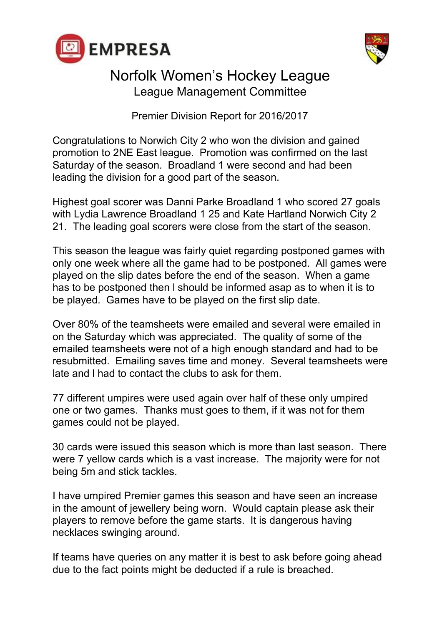



Premier Division Report for 2016/2017

Congratulations to Norwich City 2 who won the division and gained promotion to 2NE East league. Promotion was confirmed on the last Saturday of the season. Broadland 1 were second and had been leading the division for a good part of the season.

Highest goal scorer was Danni Parke Broadland 1 who scored 27 goals with Lydia Lawrence Broadland 1 25 and Kate Hartland Norwich City 2 21. The leading goal scorers were close from the start of the season.

This season the league was fairly quiet regarding postponed games with only one week where all the game had to be postponed. All games were played on the slip dates before the end of the season. When a game has to be postponed then l should be informed asap as to when it is to be played. Games have to be played on the first slip date.

Over 80% of the teamsheets were emailed and several were emailed in on the Saturday which was appreciated. The quality of some of the emailed teamsheets were not of a high enough standard and had to be resubmitted. Emailing saves time and money. Several teamsheets were late and l had to contact the clubs to ask for them.

77 different umpires were used again over half of these only umpired one or two games. Thanks must goes to them, if it was not for them games could not be played.

30 cards were issued this season which is more than last season. There were 7 yellow cards which is a vast increase. The majority were for not being 5m and stick tackles.

I have umpired Premier games this season and have seen an increase in the amount of jewellery being worn. Would captain please ask their players to remove before the game starts. It is dangerous having necklaces swinging around.

If teams have queries on any matter it is best to ask before going ahead due to the fact points might be deducted if a rule is breached.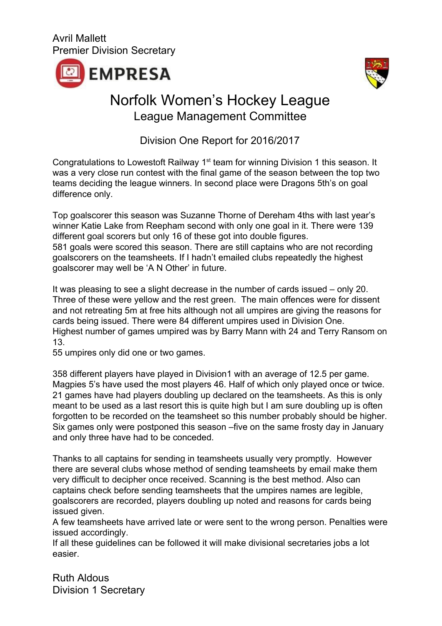



Division One Report for 2016/2017

Congratulations to Lowestoft Railway 1<sup>st</sup> team for winning Division 1 this season. It was a very close run contest with the final game of the season between the top two teams deciding the league winners. In second place were Dragons 5th's on goal difference only.

Top goalscorer this season was Suzanne Thorne of Dereham 4ths with last year's winner Katie Lake from Reepham second with only one goal in it. There were 139 different goal scorers but only 16 of these got into double figures. 581 goals were scored this season. There are still captains who are not recording goalscorers on the teamsheets. If I hadn't emailed clubs repeatedly the highest goalscorer may well be 'A N Other' in future.

It was pleasing to see a slight decrease in the number of cards issued – only 20. Three of these were yellow and the rest green. The main offences were for dissent and not retreating 5m at free hits although not all umpires are giving the reasons for cards being issued. There were 84 different umpires used in Division One. Highest number of games umpired was by Barry Mann with 24 and Terry Ransom on 13.

55 umpires only did one or two games.

358 different players have played in Division1 with an average of 12.5 per game. Magpies 5's have used the most players 46. Half of which only played once or twice. 21 games have had players doubling up declared on the teamsheets. As this is only meant to be used as a last resort this is quite high but I am sure doubling up is often forgotten to be recorded on the teamsheet so this number probably should be higher. Six games only were postponed this season –five on the same frosty day in January and only three have had to be conceded.

Thanks to all captains for sending in teamsheets usually very promptly. However there are several clubs whose method of sending teamsheets by email make them very difficult to decipher once received. Scanning is the best method. Also can captains check before sending teamsheets that the umpires names are legible, goalscorers are recorded, players doubling up noted and reasons for cards being issued given.

A few teamsheets have arrived late or were sent to the wrong person. Penalties were issued accordingly.

If all these guidelines can be followed it will make divisional secretaries jobs a lot easier.

Ruth Aldous Division 1 Secretary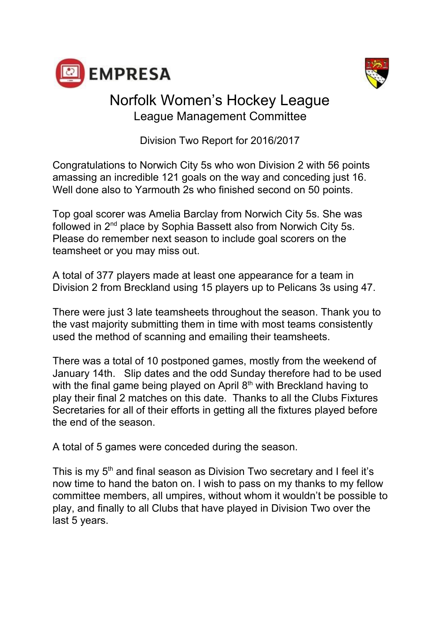



Division Two Report for 2016/2017

Congratulations to Norwich City 5s who won Division 2 with 56 points amassing an incredible 121 goals on the way and conceding just 16. Well done also to Yarmouth 2s who finished second on 50 points.

Top goal scorer was Amelia Barclay from Norwich City 5s. She was followed in  $2^{nd}$  place by Sophia Bassett also from Norwich City 5s. Please do remember next season to include goal scorers on the teamsheet or you may miss out.

A total of 377 players made at least one appearance for a team in Division 2 from Breckland using 15 players up to Pelicans 3s using 47.

There were just 3 late teamsheets throughout the season. Thank you to the vast majority submitting them in time with most teams consistently used the method of scanning and emailing their teamsheets.

There was a total of 10 postponed games, mostly from the weekend of January 14th. Slip dates and the odd Sunday therefore had to be used with the final game being played on April  $8<sup>th</sup>$  with Breckland having to play their final 2 matches on this date. Thanks to all the Clubs Fixtures Secretaries for all of their efforts in getting all the fixtures played before the end of the season.

A total of 5 games were conceded during the season.

This is my  $5<sup>th</sup>$  and final season as Division Two secretary and I feel it's now time to hand the baton on. I wish to pass on my thanks to my fellow committee members, all umpires, without whom it wouldn't be possible to play, and finally to all Clubs that have played in Division Two over the last 5 years.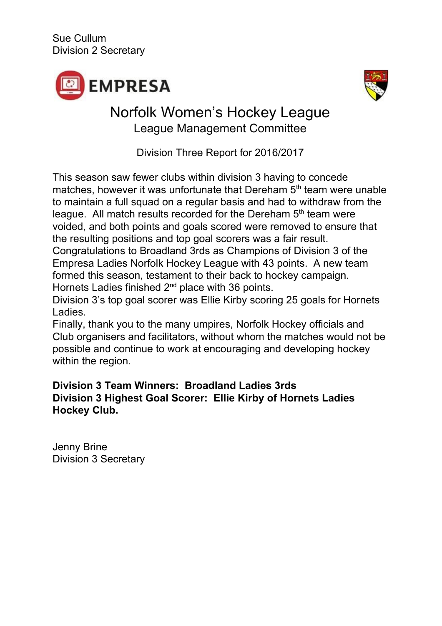



Division Three Report for 2016/2017

This season saw fewer clubs within division 3 having to concede matches, however it was unfortunate that Dereham 5<sup>th</sup> team were unable to maintain a full squad on a regular basis and had to withdraw from the league. All match results recorded for the Dereham 5<sup>th</sup> team were voided, and both points and goals scored were removed to ensure that the resulting positions and top goal scorers was a fair result.

Congratulations to Broadland 3rds as Champions of Division 3 of the Empresa Ladies Norfolk Hockey League with 43 points. A new team formed this season, testament to their back to hockey campaign. Hornets Ladies finished  $2^{nd}$  place with 36 points.

Division 3's top goal scorer was Ellie Kirby scoring 25 goals for Hornets Ladies.

Finally, thank you to the many umpires, Norfolk Hockey officials and Club organisers and facilitators, without whom the matches would not be possible and continue to work at encouraging and developing hockey within the region.

#### **Division 3 Team Winners: Broadland Ladies 3rds Division 3 Highest Goal Scorer: Ellie Kirby of Hornets Ladies Hockey Club.**

Jenny Brine Division 3 Secretary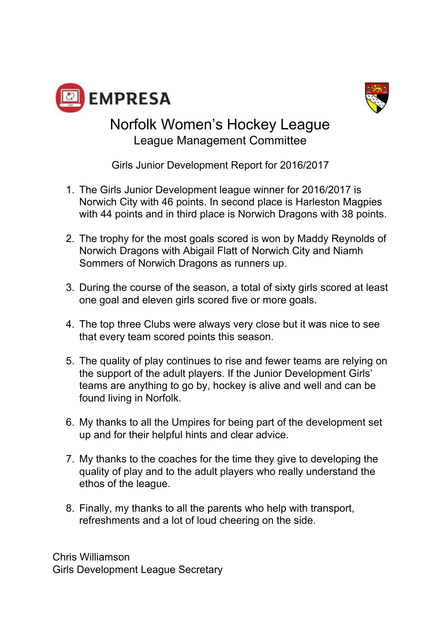



Girls Junior Development Report for 2016/2017

- 1. The Girls Junior Development league winner for 2016/2017 is Norwich City with 46 points. In second place is Harleston Magpies with 44 points and in third place is Norwich Dragons with 38 points.
- 2. The trophy for the most goals scored is won by Maddy Reynolds of Norwich Dragons with Abigail Flatt of Norwich City and Niamh Sommers of Norwich Dragons as runners up.
- 3. During the course of the season, a total of sixty girls scored at least one goal and eleven girls scored five or more goals.
- 4. The top three Clubs were always very close but it was nice to see that every team scored points this season.
- 5. The quality of play continues to rise and fewer teams are relying on the support of the adult players. If the Junior Development Girls' teams are anything to go by, hockey is alive and well and can be found living in Norfolk.
- 6. My thanks to all the Umpires for being part of the development set up and for their helpful hints and clear advice.
- 7. My thanks to the coaches for the time they give to developing the quality of play and to the adult players who really understand the ethos of the league.
- 8. Finally, my thanks to all the parents who help with transport, refreshments and a lot of loud cheering on the side.

Chris Williamson Girls Development League Secretary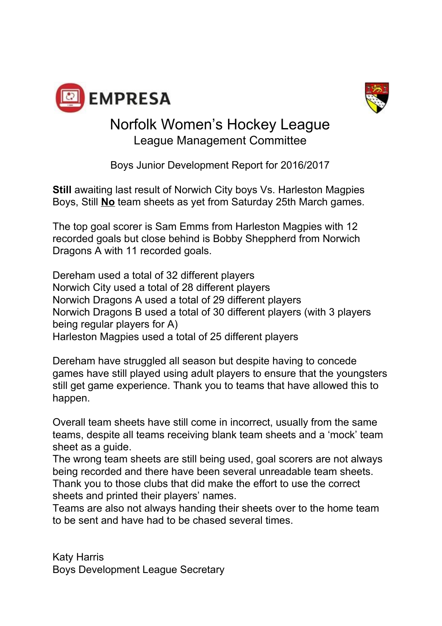



Boys Junior Development Report for 2016/2017

**Still** awaiting last result of Norwich City boys Vs. Harleston Magpies Boys, Still **No** team sheets as yet from Saturday 25th March games.

The top goal scorer is Sam Emms from Harleston Magpies with 12 recorded goals but close behind is Bobby Sheppherd from Norwich Dragons A with 11 recorded goals.

Dereham used a total of 32 different players Norwich City used a total of 28 different players Norwich Dragons A used a total of 29 different players Norwich Dragons B used a total of 30 different players (with 3 players being regular players for A) Harleston Magpies used a total of 25 different players

Dereham have struggled all season but despite having to concede games have still played using adult players to ensure that the youngsters still get game experience. Thank you to teams that have allowed this to happen.

Overall team sheets have still come in incorrect, usually from the same teams, despite all teams receiving blank team sheets and a 'mock' team sheet as a guide.

The wrong team sheets are still being used, goal scorers are not always being recorded and there have been several unreadable team sheets. Thank you to those clubs that did make the effort to use the correct sheets and printed their players' names.

Teams are also not always handing their sheets over to the home team to be sent and have had to be chased several times.

Katy Harris Boys Development League Secretary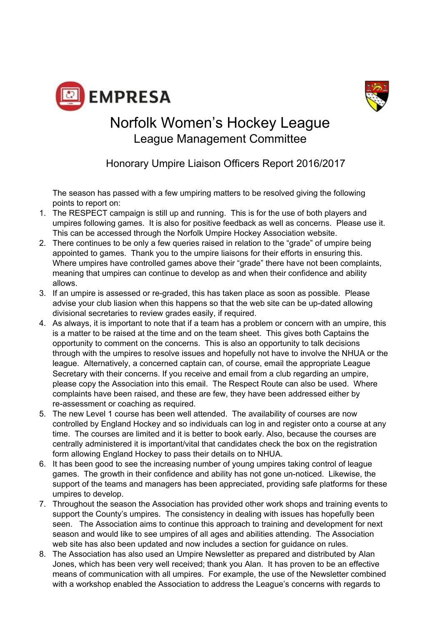



Honorary Umpire Liaison Officers Report 2016/2017

The season has passed with a few umpiring matters to be resolved giving the following points to report on:

- 1. The RESPECT campaign is still up and running. This is for the use of both players and umpires following games. It is also for positive feedback as well as concerns. Please use it. This can be accessed through the Norfolk Umpire Hockey Association website.
- 2. There continues to be only a few queries raised in relation to the "grade" of umpire being appointed to games. Thank you to the umpire liaisons for their efforts in ensuring this. Where umpires have controlled games above their "grade" there have not been complaints, meaning that umpires can continue to develop as and when their confidence and ability allows.
- 3. If an umpire is assessed or re-graded, this has taken place as soon as possible. Please advise your club liasion when this happens so that the web site can be up-dated allowing divisional secretaries to review grades easily, if required.
- 4. As always, it is important to note that if a team has a problem or concern with an umpire, this is a matter to be raised at the time and on the team sheet. This gives both Captains the opportunity to comment on the concerns. This is also an opportunity to talk decisions through with the umpires to resolve issues and hopefully not have to involve the NHUA or the league. Alternatively, a concerned captain can, of course, email the appropriate League Secretary with their concerns. If you receive and email from a club regarding an umpire, please copy the Association into this email. The Respect Route can also be used. Where complaints have been raised, and these are few, they have been addressed either by re-assessment or coaching as required.
- 5. The new Level 1 course has been well attended. The availability of courses are now controlled by England Hockey and so individuals can log in and register onto a course at any time. The courses are limited and it is better to book early. Also, because the courses are centrally administered it is important/vital that candidates check the box on the registration form allowing England Hockey to pass their details on to NHUA.
- 6. It has been good to see the increasing number of young umpires taking control of league games. The growth in their confidence and ability has not gone un-noticed. Likewise, the support of the teams and managers has been appreciated, providing safe platforms for these umpires to develop.
- 7. Throughout the season the Association has provided other work shops and training events to support the County's umpires. The consistency in dealing with issues has hopefully been seen. The Association aims to continue this approach to training and development for next season and would like to see umpires of all ages and abilities attending. The Association web site has also been updated and now includes a section for guidance on rules.
- 8. The Association has also used an Umpire Newsletter as prepared and distributed by Alan Jones, which has been very well received; thank you Alan. It has proven to be an effective means of communication with all umpires. For example, the use of the Newsletter combined with a workshop enabled the Association to address the League's concerns with regards to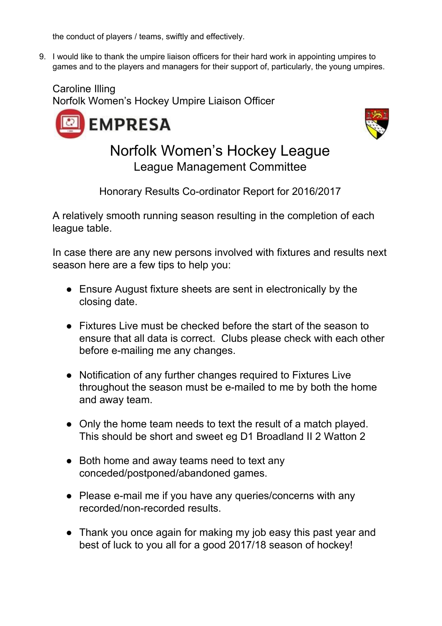the conduct of players / teams, swiftly and effectively.

9. I would like to thank the umpire liaison officers for their hard work in appointing umpires to games and to the players and managers for their support of, particularly, the young umpires.

Caroline Illing Norfolk Women's Hockey Umpire Liaison Officer





Norfolk Women's Hockey League League Management Committee

Honorary Results Co-ordinator Report for 2016/2017

A relatively smooth running season resulting in the completion of each league table.

In case there are any new persons involved with fixtures and results next season here are a few tips to help you:

- Ensure August fixture sheets are sent in electronically by the closing date.
- Fixtures Live must be checked before the start of the season to ensure that all data is correct. Clubs please check with each other before e-mailing me any changes.
- Notification of any further changes required to Fixtures Live throughout the season must be e-mailed to me by both the home and away team.
- Only the home team needs to text the result of a match played. This should be short and sweet eg D1 Broadland II 2 Watton 2
- Both home and away teams need to text any conceded/postponed/abandoned games.
- Please e-mail me if you have any queries/concerns with any recorded/non-recorded results.
- Thank you once again for making my job easy this past year and best of luck to you all for a good 2017/18 season of hockey!